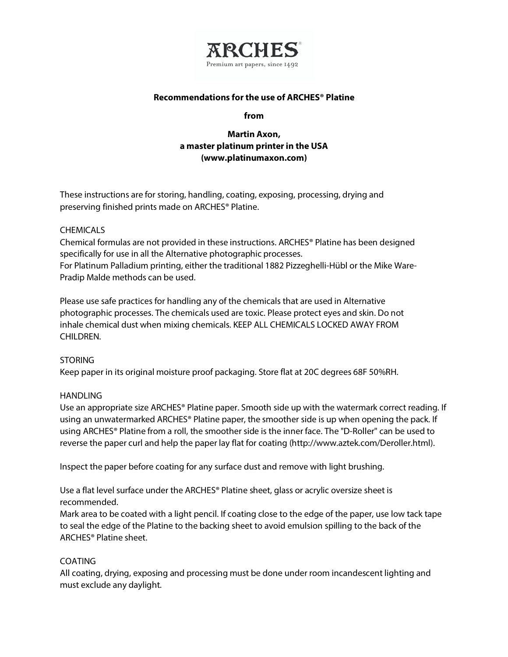

### **Recommendations for the use of ARCHES® Platine**

#### **from**

# **Martin Axon, a master platinum printerin the USA (www.platinumaxon.com)**

These instructions are for storing, handling, coating, exposing, processing, drying and preserving finished prints made on ARCHES® Platine.

### **CHEMICALS**

Chemical formulas are not provided in these instructions. ARCHES® Platine has been designed specifically for use in all the Alternative photographic processes.

For Platinum Palladium printing, either the traditional 1882 Pizzeghelli-Hübl or the Mike Ware-Pradip Malde methods can be used.

Please use safe practices for handling any of the chemicals that are used in Alternative photographic processes. The chemicals used are toxic. Please protect eyes and skin. Do not inhale chemical dust when mixing chemicals. KEEP ALL CHEMICALS LOCKED AWAY FROM CHILDREN.

# STORING

Keep paper in its original moisture proof packaging. Store flat at 20C degrees 68F 50%RH.

### **HANDLING**

Use an appropriate size ARCHES® Platine paper. Smooth side up with the watermark correct reading. If using an unwatermarked ARCHES® Platine paper, the smoother side is up when opening the pack. If using ARCHES® Platine from a roll, the smoother side is the inner face. The "D-Roller" can be used to reverse the paper curl and help the paper lay flat for coating (http://www.aztek.com/Deroller.html).

Inspect the paper before coating for any surface dust and remove with light brushing.

Use a flat level surface under the ARCHES® Platine sheet, glass or acrylic oversize sheet is recommended.

Mark area to be coated with a light pencil. If coating close to the edge of the paper, use low tack tape to seal the edge of the Platine to the backing sheet to avoid emulsion spilling to the back of the ARCHES® Platine sheet.

# COATING

All coating, drying, exposing and processing must be done under room incandescent lighting and must exclude any daylight.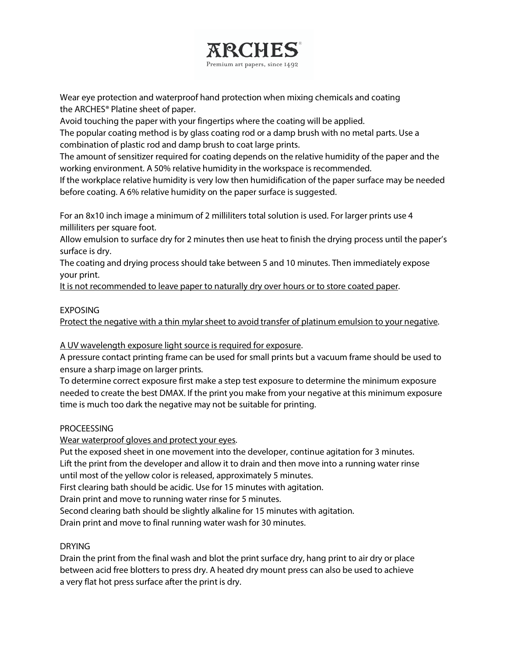

Wear eye protection and waterproof hand protection when mixing chemicals and coating the ARCHES® Platine sheet of paper.

Avoid touching the paper with your fingertips where the coating will be applied.

The popular coating method is by glass coating rod or a damp brush with no metal parts. Use a combination of plastic rod and damp brush to coat large prints.

The amount of sensitizer required for coating depends on the relative humidity of the paper and the working environment. A 50% relative humidity in the workspace is recommended.

If the workplace relative humidity is very low then humidification of the paper surface may be needed before coating. A 6% relative humidity on the paper surface is suggested.

For an 8x10 inch image a minimum of 2 milliliters total solution is used. For larger prints use 4 milliliters per square foot.

Allow emulsion to surface dry for 2 minutes then use heat to finish the drying process until the paper's surface is dry.

The coating and drying process should take between 5 and 10 minutes. Then immediately expose your print.

It is not recommended to leave paper to naturally dry over hours or to store coated paper.

### EXPOSING

Protect the negative with a thin mylar sheet to avoid transfer of platinum emulsion to your negative.

A UV wavelength exposure light source is required for exposure.

A pressure contact printing frame can be used for small prints but a vacuum frame should be used to ensure a sharp image on larger prints.

To determine correct exposure first make a step test exposure to determine the minimum exposure needed to create the best DMAX. If the print you make from your negative at this minimum exposure time is much too dark the negative may not be suitable for printing.

### **PROCEESSING**

Wear waterproof gloves and protect your eyes.

Put the exposed sheet in one movement into the developer, continue agitation for 3 minutes. Lift the print from the developer and allow it to drain and then move into a running water rinse until most of the yellow color is released, approximately 5 minutes.

First clearing bath should be acidic. Use for 15 minutes with agitation.

Drain print and move to running water rinse for 5 minutes.

Second clearing bath should be slightly alkaline for 15 minutes with agitation.

Drain print and move to final running water wash for 30 minutes.

### **DRYING**

Drain the print from the final wash and blot the print surface dry, hang print to air dry or place between acid free blotters to press dry. A heated dry mount press can also be used to achieve a very flat hot press surface after the print is dry.